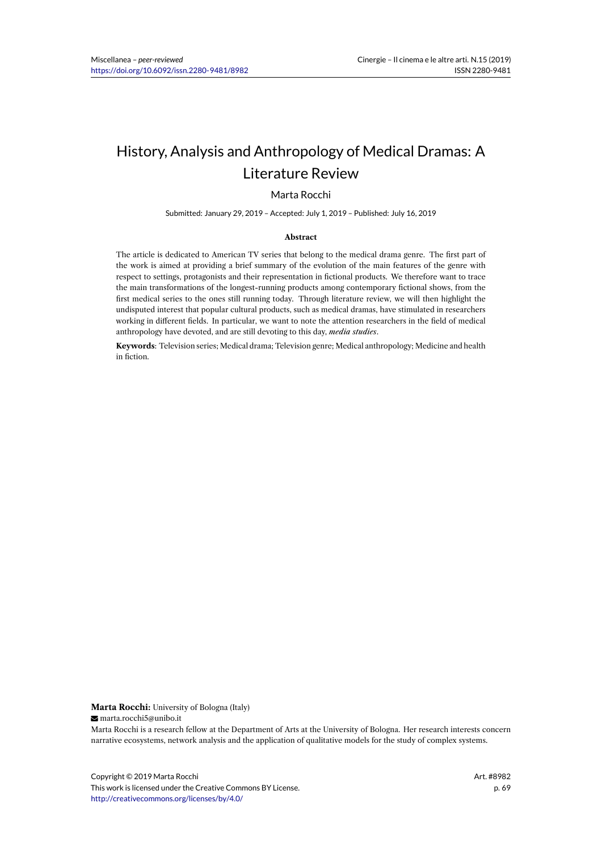# History, Analysis and Anthropology of Medical Dramas: A Literature Review

### Marta Rocchi

Submitted: January 29, 2019 – Accepted: July 1, 2019 – Published: July 16, 2019

#### **Abstract**

The article is dedicated to American TV series that belong to the medical drama genre. The first part of the work is aimed at providing a brief summary of the evolution of the main features of the genre with respect to settings, protagonists and their representation in fictional products. We therefore want to trace the main transformations of the longest-running products among contemporary fictional shows, from the first medical series to the ones still running today. Through literature review, we will then highlight the undisputed interest that popular cultural products, such as medical dramas, have stimulated in researchers working in different fields. In particular, we want to note the attention researchers in the field of medical anthropology have devoted, and are still devoting to this day, *media studies*.

**Keywords**: Television series; Medical drama; Television genre; Medical anthropology; Medicine and health in fiction.

**Marta Rocchi:** University of Bologna (Italy)

marta.rocchi5@unibo.it

Marta Rocchi is a research fellow at the Department of Arts at the University of Bologna. Her research interests concern narrative ecosystems, network analysis and the application of qualitative models for the study of complex systems.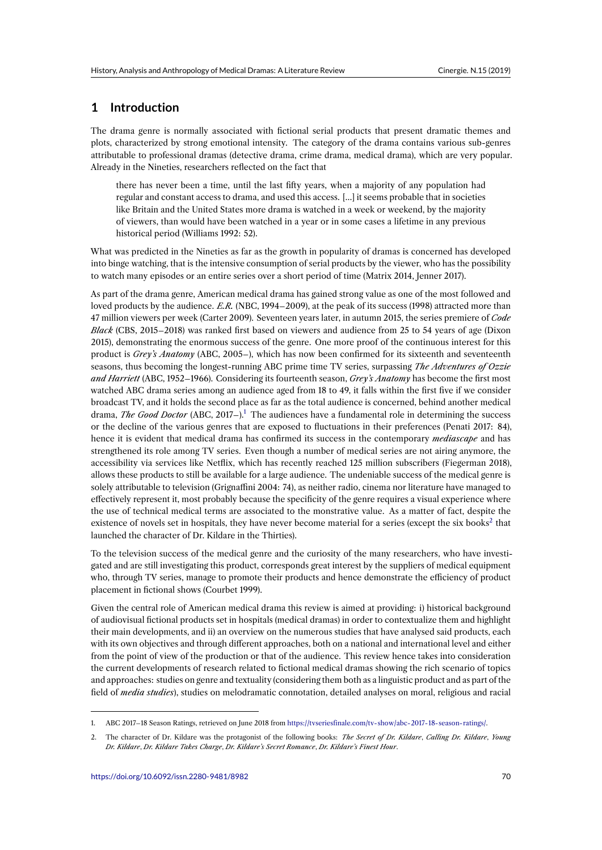## **1 Introduction**

The drama genre is normally associated with fictional serial products that present dramatic themes and plots, characterized by strong emotional intensity. The category of the drama contains various sub-genres attributable to professional dramas (detective drama, crime drama, medical drama), which are very popular. Already in the Nineties, researchers reflected on the fact that

there has never been a time, until the last fifty years, when a majority of any population had regular and constant access to drama, and used this access. […] it seems probable that in societies like Britain and the United States more drama is watched in a week or weekend, by the majority of viewers, than would have been watched in a year or in some cases a lifetime in any previous historical period (Williams 1992: 52).

What was predicted in the Nineties as far as the growth in popularity of dramas is concerned has developed into binge watching, that is the intensive consumption of serial products by the viewer, who has the possibility to watch many episodes or an entire series over a short period of time (Matrix 2014, Jenner 2017).

As part of the drama genre, American medical drama has gained strong value as one of the most followed and loved products by the audience. *E.R.* (NBC, 1994–2009), at the peak of its success (1998) attracted more than 47 million viewers per week (Carter 2009). Seventeen years later, in autumn 2015, the series premiere of *Code Black* (CBS, 2015–2018) was ranked first based on viewers and audience from 25 to 54 years of age (Dixon 2015), demonstrating the enormous success of the genre. One more proof of the continuous interest for this product is *Grey's Anatomy* (ABC, 2005–), which has now been confirmed for its sixteenth and seventeenth seasons, thus becoming the longest-running ABC prime time TV series, surpassing *The Adventures of Ozzie and Harriett* (ABC, 1952–1966). Considering its fourteenth season, *Grey's Anatomy* has become the first most watched ABC drama series among an audience aged from 18 to 49, it falls within the first five if we consider broadcast TV, and it holds the second place as far as the total audience is concerned, behind another medical drama, *The Good Doctor* (ABC, 2017–).<sup>1</sup> The audiences have a fundamental role in determining the success or the decline of the various genres that are exposed to fluctuations in their preferences (Penati 2017: 84), hence it is evident that medical drama has confirmed its success in the contemporary *mediascape* and has strengthened its role among TV series. Even though a number of medical series are not airing anymore, the accessibility via services like Netflix, [wh](#page-1-0)ich has recently reached 125 million subscribers (Fiegerman 2018), allows these products to still be available for a large audience. The undeniable success of the medical genre is solely attributable to television (Grignaffini 2004: 74), as neither radio, cinema nor literature have managed to effectively represent it, most probably because the specificity of the genre requires a visual experience where the use of technical medical terms are associated to the monstrative value. As a matter of fact, despite the existence of novels set in hospitals, they have never become material for a series (except the six books $2$  that launched the character of Dr. Kildare in the Thirties).

To the television success of the medical genre and the curiosity of the many researchers, who have investigated and are still investigating this product, corresponds great interest by the suppliers of medical equi[pm](#page-1-1)ent who, through TV series, manage to promote their products and hence demonstrate the efficiency of product placement in fictional shows (Courbet 1999).

Given the central role of American medical drama this review is aimed at providing: i) historical background of audiovisual fictional products set in hospitals (medical dramas) in order to contextualize them and highlight their main developments, and ii) an overview on the numerous studies that have analysed said products, each with its own objectives and through different approaches, both on a national and international level and either from the point of view of the production or that of the audience. This review hence takes into consideration the current developments of research related to fictional medical dramas showing the rich scenario of topics and approaches: studies on genre and textuality (considering them both as a linguistic product and as part of the field of *media studies*), studies on melodramatic connotation, detailed analyses on moral, religious and racial

<sup>1.</sup> ABC 2017–18 Season Ratings, retrieved on June 2018 from https://tvseriesfinale.com/tv-show/abc-2017-18-season-ratings/.

<span id="page-1-1"></span><span id="page-1-0"></span><sup>2.</sup> The character of Dr. Kildare was the protagonist of the following books: *The Secret of Dr. Kildare*, *Calling Dr. Kildare*, *Young Dr. Kildare*, *Dr. Kildare Takes Charge*, *Dr. Kildare's Secret Romance*, *Dr. Kildare's Finest Hour*.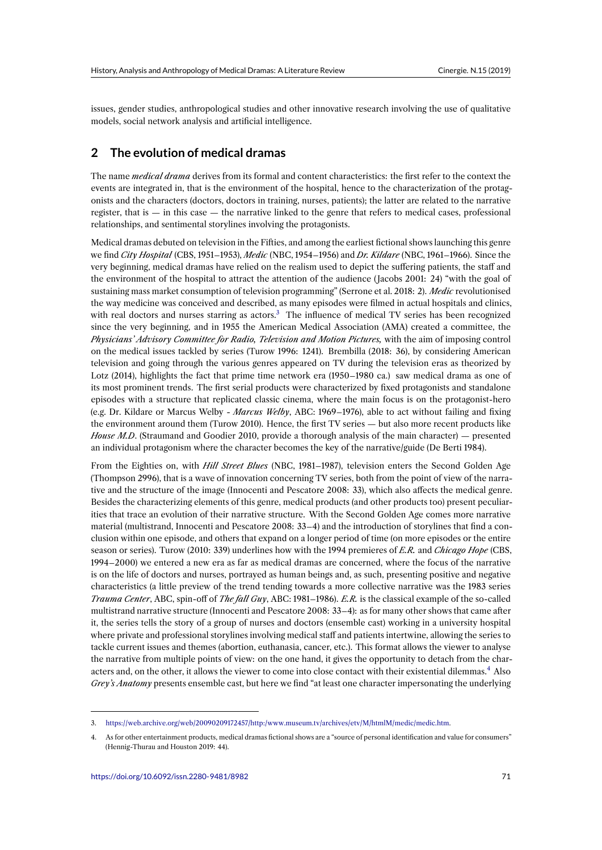issues, gender studies, anthropological studies and other innovative research involving the use of qualitative models, social network analysis and artificial intelligence.

# **2 The evolution of medical dramas**

The name *medical drama* derives from its formal and content characteristics: the first refer to the context the events are integrated in, that is the environment of the hospital, hence to the characterization of the protagonists and the characters (doctors, doctors in training, nurses, patients); the latter are related to the narrative register, that is — in this case — the narrative linked to the genre that refers to medical cases, professional relationships, and sentimental storylines involving the protagonists.

Medical dramas debuted on television in the Fifties, and among the earliest fictional shows launching this genre we find *City Hospital* (CBS, 1951–1953), *Medic* (NBC, 1954–1956) and *Dr. Kildare* (NBC, 1961–1966). Since the very beginning, medical dramas have relied on the realism used to depict the suffering patients, the staff and the environment of the hospital to attract the attention of the audience (Jacobs 2001: 24) "with the goal of sustaining mass market consumption of television programming" (Serrone et al. 2018: 2). *Medic* revolutionised the way medicine was conceived and described, as many episodes were filmed in actual hospitals and clinics, with real doctors and nurses starring as actors.<sup>3</sup> The influence of medical TV series has been recognized since the very beginning, and in 1955 the American Medical Association (AMA) created a committee, the *Physicians' Advisory Committee for Radio, Television and Motion Pictures,* with the aim of imposing control on the medical issues tackled by series (Turow 1996: 1241). Brembilla (2018: 36), by considering American television and going through the various genre[s](#page-2-0) appeared on TV during the television eras as theorized by Lotz (2014), highlights the fact that prime time network era (1950–1980 ca.) saw medical drama as one of its most prominent trends. The first serial products were characterized by fixed protagonists and standalone episodes with a structure that replicated classic cinema, where the main focus is on the protagonist-hero (e.g. Dr. Kildare or Marcus Welby - *Marcus Welby*, ABC: 1969–1976), able to act without failing and fixing the environment around them (Turow 2010). Hence, the first TV series — but also more recent products like *House M.D.* (Straumand and Goodier 2010, provide a thorough analysis of the main character) — presented an individual protagonism where the character becomes the key of the narrative/guide (De Berti 1984).

From the Eighties on, with *Hill Street Blues* (NBC, 1981–1987), television enters the Second Golden Age (Thompson 2996), that is a wave of innovation concerning TV series, both from the point of view of the narrative and the structure of the image (Innocenti and Pescatore 2008: 33), which also affects the medical genre. Besides the characterizing elements of this genre, medical products (and other products too) present peculiarities that trace an evolution of their narrative structure. With the Second Golden Age comes more narrative material (multistrand, Innocenti and Pescatore 2008: 33–4) and the introduction of storylines that find a conclusion within one episode, and others that expand on a longer period of time (on more episodes or the entire season or series). Turow (2010: 339) underlines how with the 1994 premieres of *E.R.* and *Chicago Hope* (CBS, 1994–2000) we entered a new era as far as medical dramas are concerned, where the focus of the narrative is on the life of doctors and nurses, portrayed as human beings and, as such, presenting positive and negative characteristics (a little preview of the trend tending towards a more collective narrative was the 1983 series *Trauma Center*, ABC, spin-off of *The fall Guy*, ABC: 1981–1986). *E.R.* is the classical example of the so-called multistrand narrative structure (Innocenti and Pescatore 2008: 33–4): as for many other shows that came after it, the series tells the story of a group of nurses and doctors (ensemble cast) working in a university hospital where private and professional storylines involving medical staff and patients intertwine, allowing the series to tackle current issues and themes (abortion, euthanasia, cancer, etc.). This format allows the viewer to analyse the narrative from multiple points of view: on the one hand, it gives the opportunity to detach from the characters and, on the other, it allows the viewer to come into close contact with their existential dilemmas.<sup>4</sup> Also *Grey's Anatomy* presents ensemble cast, but here we find "at least one character impersonating the underlying

<sup>3.</sup> https://web.archive.org/web/20090209172457/http:/www.museum.tv/archives/etv/M/htmlM/medic/medic.htm.

<span id="page-2-0"></span><sup>4.</sup> As for other entertainment products, medical dramas fictional shows are a "source of personal identification and value for consumers" (Hennig-Thurau and Houston 2019: 44).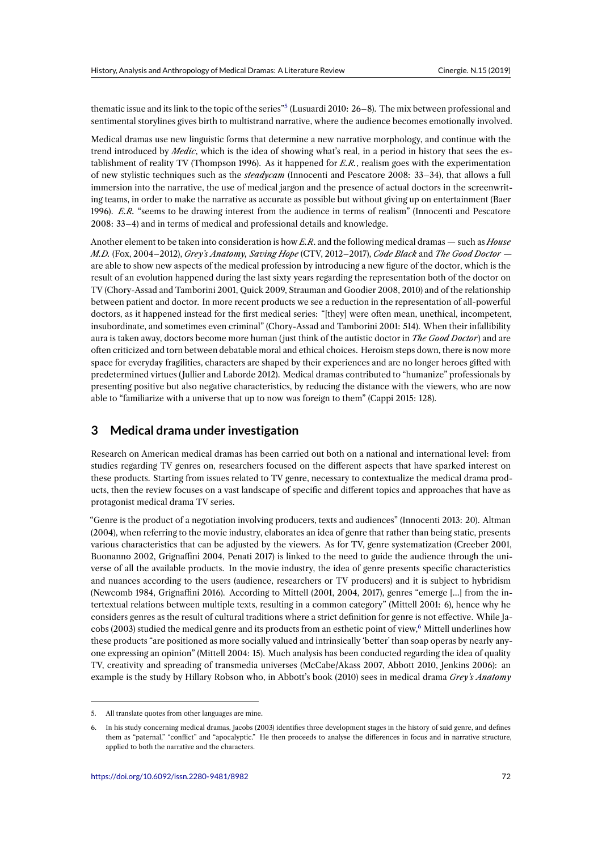thematic issue and its link to the topic of the series"<sup>5</sup> (Lusuardi 2010: 26–8). The mix between professional and sentimental storylines gives birth to multistrand narrative, where the audience becomes emotionally involved.

Medical dramas use new linguistic forms that determine a new narrative morphology, and continue with the trend introduced by *Medic*, which is the idea of [sh](#page-3-0)owing what's real, in a period in history that sees the establishment of reality TV (Thompson 1996). As it happened for *E.R.*, realism goes with the experimentation of new stylistic techniques such as the *steadycam* (Innocenti and Pescatore 2008: 33–34), that allows a full immersion into the narrative, the use of medical jargon and the presence of actual doctors in the screenwriting teams, in order to make the narrative as accurate as possible but without giving up on entertainment (Baer 1996). *E.R.* "seems to be drawing interest from the audience in terms of realism" (Innocenti and Pescatore 2008: 33–4) and in terms of medical and professional details and knowledge.

Another element to be taken into consideration is how *E.R*. and the following medical dramas — such as *House M.D.* (Fox, 2004–2012), *Grey's Anatomy, Saving Hope* (CTV, 2012–2017), *Code Black* and *The Good Doctor* are able to show new aspects of the medical profession by introducing a new figure of the doctor, which is the result of an evolution happened during the last sixty years regarding the representation both of the doctor on TV (Chory-Assad and Tamborini 2001, Quick 2009, Strauman and Goodier 2008, 2010) and of the relationship between patient and doctor. In more recent products we see a reduction in the representation of all-powerful doctors, as it happened instead for the first medical series: "[they] were often mean, unethical, incompetent, insubordinate, and sometimes even criminal" (Chory-Assad and Tamborini 2001: 514). When their infallibility aura is taken away, doctors become more human (just think of the autistic doctor in *The Good Doctor*) and are often criticized and torn between debatable moral and ethical choices. Heroism steps down, there is now more space for everyday fragilities, characters are shaped by their experiences and are no longer heroes gifted with predetermined virtues ( Jullier and Laborde 2012). Medical dramas contributed to "humanize" professionals by presenting positive but also negative characteristics, by reducing the distance with the viewers, who are now able to "familiarize with a universe that up to now was foreign to them" (Cappi 2015: 128).

### **3 Medical drama under investigation**

Research on American medical dramas has been carried out both on a national and international level: from studies regarding TV genres on, researchers focused on the different aspects that have sparked interest on these products. Starting from issues related to TV genre, necessary to contextualize the medical drama products, then the review focuses on a vast landscape of specific and different topics and approaches that have as protagonist medical drama TV series.

"Genre is the product of a negotiation involving producers, texts and audiences" (Innocenti 2013: 20). Altman (2004), when referring to the movie industry, elaborates an idea of genre that rather than being static, presents various characteristics that can be adjusted by the viewers. As for TV, genre systematization (Creeber 2001, Buonanno 2002, Grignaffini 2004, Penati 2017) is linked to the need to guide the audience through the universe of all the available products. In the movie industry, the idea of genre presents specific characteristics and nuances according to the users (audience, researchers or TV producers) and it is subject to hybridism (Newcomb 1984, Grignaffini 2016). According to Mittell (2001, 2004, 2017), genres "emerge […] from the intertextual relations between multiple texts, resulting in a common category" (Mittell 2001: 6), hence why he considers genres as the result of cultural traditions where a strict definition for genre is not effective. While Jacobs (2003) studied the medical genre and its products from an esthetic point of view,<sup>6</sup> Mittell underlines how these products "are positioned as more socially valued and intrinsically 'better' than soap operas by nearly anyone expressing an opinion" (Mittell 2004: 15). Much analysis has been conducted regarding the idea of quality TV, creativity and spreading of transmedia universes (McCabe/Akass 2007, Abbott 2010, Jenkins 2006): an example is the study by Hillary Robson who, in Abbott's book (2010) sees in medic[al](#page-3-1) drama *Grey's Anatomy*

<sup>5.</sup> All translate quotes from other languages are mine.

<span id="page-3-1"></span><span id="page-3-0"></span><sup>6.</sup> In his study concerning medical dramas, Jacobs (2003) identifies three development stages in the history of said genre, and defines them as "paternal," "conflict" and "apocalyptic." He then proceeds to analyse the differences in focus and in narrative structure, applied to both the narrative and the characters.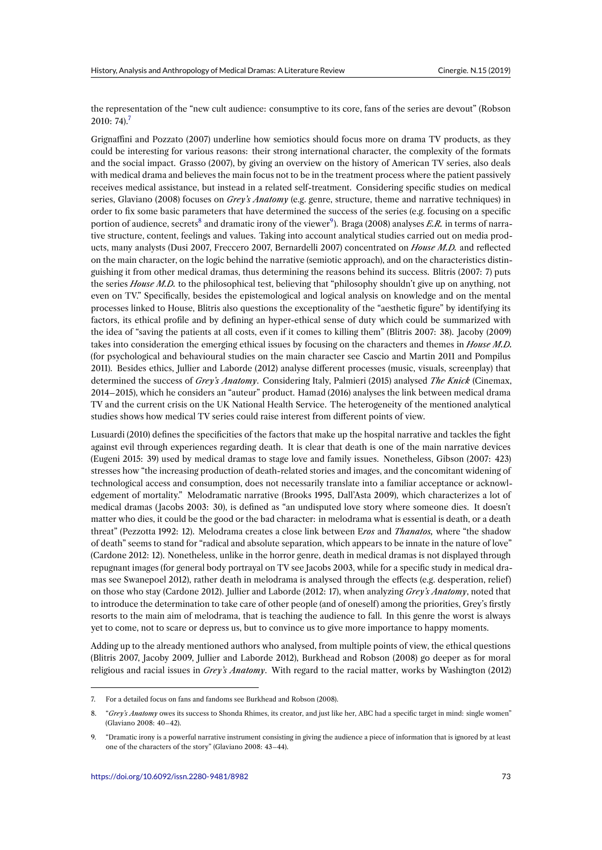the representation of the "new cult audience: consumptive to its core, fans of the series are devout" (Robson  $2010: 74$ .<sup>7</sup>

Grignaffini and Pozzato (2007) underline how semiotics should focus more on drama TV products, as they could be interesting for various reasons: their strong international character, the complexity of the formats and the s[oc](#page-4-0)ial impact. Grasso (2007), by giving an overview on the history of American TV series, also deals with medical drama and believes the main focus not to be in the treatment process where the patient passively receives medical assistance, but instead in a related self-treatment. Considering specific studies on medical series, Glaviano (2008) focuses on *Grey's Anatomy* (e.g. genre, structure, theme and narrative techniques) in order to fix some basic parameters that have determined the success of the series (e.g. focusing on a specific portion of audience, secrets<sup>8</sup> and dramatic irony of the viewer<sup>9</sup>). Braga (2008) analyses *E.R*. in terms of narrative structure, content, feelings and values. Taking into account analytical studies carried out on media products, many analysts (Dusi 2007, Freccero 2007, Bernardelli 2007) concentrated on *House M.D.* and reflected on the main character, on the logic behind the narrative (semiotic approach), and on the characteristics distinguishing it from other medi[c](#page-4-1)al dramas, thus determining ther[e](#page-4-2)asons behind its success. Blitris (2007: 7) puts the series *House M.D.* to the philosophical test, believing that "philosophy shouldn't give up on anything, not even on TV." Specifically, besides the epistemological and logical analysis on knowledge and on the mental processes linked to House, Blitris also questions the exceptionality of the "aesthetic figure" by identifying its factors, its ethical profile and by defining an hyper-ethical sense of duty which could be summarized with the idea of "saving the patients at all costs, even if it comes to killing them" (Blitris 2007: 38). Jacoby (2009) takes into consideration the emerging ethical issues by focusing on the characters and themes in *House M.D.* (for psychological and behavioural studies on the main character see Cascio and Martin 2011 and Pompilus 2011). Besides ethics, Jullier and Laborde (2012) analyse different processes (music, visuals, screenplay) that determined the success of *Grey's Anatomy*. Considering Italy, Palmieri (2015) analysed *The Knick* (Cinemax, 2014–2015), which he considers an "auteur" product. Hamad (2016) analyses the link between medical drama TV and the current crisis on the UK National Health Service. The heterogeneity of the mentioned analytical studies shows how medical TV series could raise interest from different points of view.

Lusuardi (2010) defines the specificities of the factors that make up the hospital narrative and tackles the fight against evil through experiences regarding death. It is clear that death is one of the main narrative devices (Eugeni 2015: 39) used by medical dramas to stage love and family issues. Nonetheless, Gibson (2007: 423) stresses how "the increasing production of death-related stories and images, and the concomitant widening of technological access and consumption, does not necessarily translate into a familiar acceptance or acknowledgement of mortality." Melodramatic narrative (Brooks 1995, Dall'Asta 2009), which characterizes a lot of medical dramas (Jacobs 2003: 30), is defined as "an undisputed love story where someone dies. It doesn't matter who dies, it could be the good or the bad character: in melodrama what is essential is death, or a death threat" (Pezzotta 1992: 12). Melodrama creates a close link between E*ros* and *Thanatos,* where "the shadow of death" seems to stand for "radical and absolute separation, which appears to be innate in the nature of love" (Cardone 2012: 12). Nonetheless, unlike in the horror genre, death in medical dramas is not displayed through repugnant images (for general body portrayal on TV see Jacobs 2003, while for a specific study in medical dramas see Swanepoel 2012), rather death in melodrama is analysed through the effects (e.g. desperation, relief) on those who stay (Cardone 2012). Jullier and Laborde (2012: 17), when analyzing *Grey's Anatomy*, noted that to introduce the determination to take care of other people (and of oneself) among the priorities, Grey's firstly resorts to the main aim of melodrama, that is teaching the audience to fall. In this genre the worst is always yet to come, not to scare or depress us, but to convince us to give more importance to happy moments.

Adding up to the already mentioned authors who analysed, from multiple points of view, the ethical questions (Blitris 2007, Jacoby 2009, Jullier and Laborde 2012), Burkhead and Robson (2008) go deeper as for moral religious and racial issues in *Grey's Anatomy*. With regard to the racial matter, works by Washington (2012)

<sup>7.</sup> For a detailed focus on fans and fandoms see Burkhead and Robson (2008).

<sup>8. &</sup>quot;*Grey's Anatomy* owes its success to Shonda Rhimes, its creator, and just like her, ABC had a specific target in mind: single women" (Glaviano 2008: 40–42).

<span id="page-4-2"></span><span id="page-4-1"></span><span id="page-4-0"></span><sup>9.</sup> "Dramatic irony is a powerful narrative instrument consisting in giving the audience a piece of information that is ignored by at least one of the characters of the story" (Glaviano 2008: 43–44).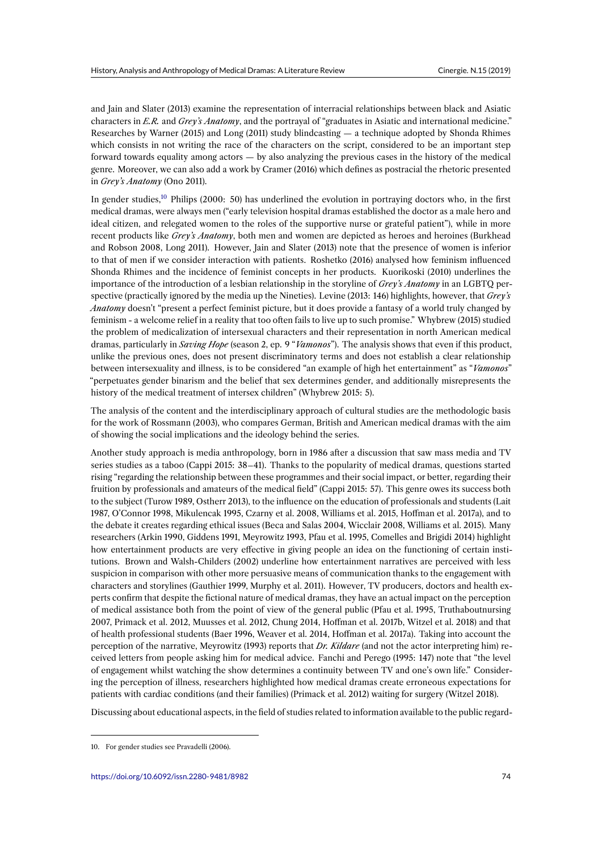and Jain and Slater (2013) examine the representation of interracial relationships between black and Asiatic characters in *E.R.* and *Grey's Anatomy*, and the portrayal of "graduates in Asiatic and international medicine." Researches by Warner (2015) and Long (2011) study blindcasting — a technique adopted by Shonda Rhimes which consists in not writing the race of the characters on the script, considered to be an important step forward towards equality among actors — by also analyzing the previous cases in the history of the medical genre. Moreover, we can also add a work by Cramer (2016) which defines as postracial the rhetoric presented in *Grey's Anatomy* (Ono 2011).

In gender studies,<sup>10</sup> Philips (2000: 50) has underlined the evolution in portraying doctors who, in the first medical dramas, were always men ("early television hospital dramas established the doctor as a male hero and ideal citizen, and relegated women to the roles of the supportive nurse or grateful patient"), while in more recent products like *Grey's Anatomy*, both men and women are depicted as heroes and heroines (Burkhead and Robson 2008[, L](#page-5-0)ong 2011). However, Jain and Slater (2013) note that the presence of women is inferior to that of men if we consider interaction with patients. Roshetko (2016) analysed how feminism influenced Shonda Rhimes and the incidence of feminist concepts in her products. Kuorikoski (2010) underlines the importance of the introduction of a lesbian relationship in the storyline of *Grey's Anatomy* in an LGBTQ perspective (practically ignored by the media up the Nineties). Levine (2013: 146) highlights, however, that *Grey's Anatomy* doesn't "present a perfect feminist picture, but it does provide a fantasy of a world truly changed by feminism - a welcome relief in a reality that too often fails to live up to such promise." Whybrew (2015) studied the problem of medicalization of intersexual characters and their representation in north American medical dramas, particularly in *Saving Hope* (season 2, ep. 9 "*Vamonos*"). The analysis shows that even if this product, unlike the previous ones, does not present discriminatory terms and does not establish a clear relationship between intersexuality and illness, is to be considered "an example of high het entertainment" as "*Vamonos*" "perpetuates gender binarism and the belief that sex determines gender, and additionally misrepresents the history of the medical treatment of intersex children" (Whybrew 2015: 5).

The analysis of the content and the interdisciplinary approach of cultural studies are the methodologic basis for the work of Rossmann (2003), who compares German, British and American medical dramas with the aim of showing the social implications and the ideology behind the series.

Another study approach is media anthropology, born in 1986 after a discussion that saw mass media and TV series studies as a taboo (Cappi 2015: 38–41). Thanks to the popularity of medical dramas, questions started rising "regarding the relationship between these programmes and their social impact, or better, regarding their fruition by professionals and amateurs of the medical field" (Cappi 2015: 57). This genre owes its success both to the subject (Turow 1989, Ostherr 2013), to the influence on the education of professionals and students (Lait 1987, O'Connor 1998, Mikulencak 1995, Czarny et al. 2008, Williams et al. 2015, Hoffman et al. 2017a), and to the debate it creates regarding ethical issues (Beca and Salas 2004, Wicclair 2008, Williams et al. 2015). Many researchers (Arkin 1990, Giddens 1991, Meyrowitz 1993, Pfau et al. 1995, Comelles and Brigidi 2014) highlight how entertainment products are very effective in giving people an idea on the functioning of certain institutions. Brown and Walsh-Childers (2002) underline how entertainment narratives are perceived with less suspicion in comparison with other more persuasive means of communication thanks to the engagement with characters and storylines (Gauthier 1999, Murphy et al. 2011). However, TV producers, doctors and health experts confirm that despite the fictional nature of medical dramas, they have an actual impact on the perception of medical assistance both from the point of view of the general public (Pfau et al. 1995, Truthaboutnursing 2007, Primack et al. 2012, Muusses et al. 2012, Chung 2014, Hoffman et al. 2017b, Witzel et al. 2018) and that of health professional students (Baer 1996, Weaver et al. 2014, Hoffman et al. 2017a). Taking into account the perception of the narrative, Meyrowitz (1993) reports that *Dr. Kildare* (and not the actor interpreting him) received letters from people asking him for medical advice. Fanchi and Perego (1995: 147) note that "the level of engagement whilst watching the show determines a continuity between TV and one's own life." Considering the perception of illness, researchers highlighted how medical dramas create erroneous expectations for patients with cardiac conditions (and their families) (Primack et al. 2012) waiting for surgery (Witzel 2018).

Discussing about educational aspects, in the field of studies related to information available to the public regard-

<span id="page-5-0"></span><sup>10.</sup> For gender studies see Pravadelli (2006).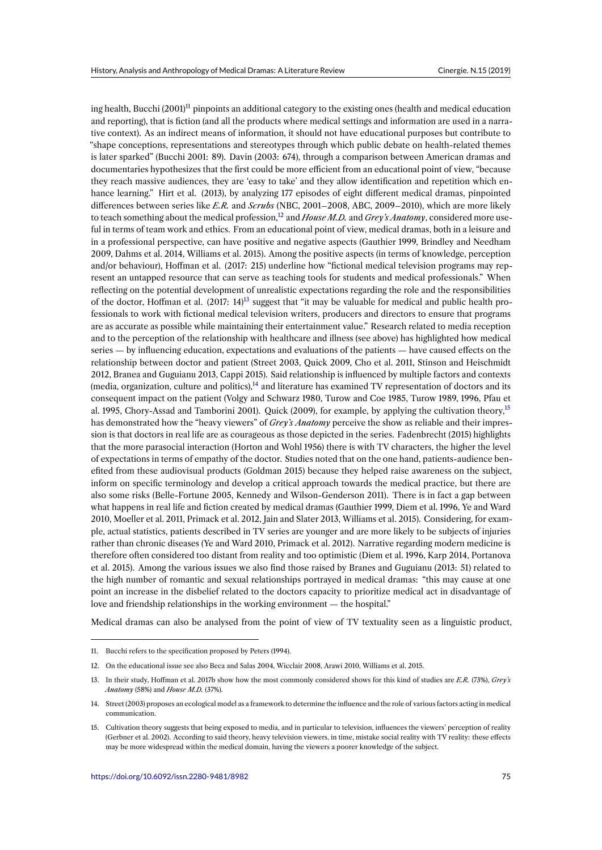ing health, Bucchi (2001)<sup>11</sup> pinpoints an additional category to the existing ones (health and medical education and reporting), that is fiction (and all the products where medical settings and information are used in a narrative context). As an indirect means of information, it should not have educational purposes but contribute to "shape conceptions, representations and stereotypes through which public debate on health-related themes is later sparked" (Bucchi [2](#page-6-0)001: 89). Davin (2003: 674), through a comparison between American dramas and documentaries hypothesizes that the first could be more efficient from an educational point of view, "because they reach massive audiences, they are 'easy to take' and they allow identification and repetition which enhance learning." Hirt et al. (2013), by analyzing 177 episodes of eight different medical dramas, pinpointed differences between series like *E.R.* and *Scrubs* (NBC, 2001–2008, ABC, 2009–2010), which are more likely to teach something about the medical profession,<sup>12</sup> and *House M.D.* and *Grey's Anatomy*, considered more useful in terms of team work and ethics. From an educational point of view, medical dramas, both in a leisure and in a professional perspective, can have positive and negative aspects (Gauthier 1999, Brindley and Needham 2009, Dahms et al. 2014, Williams et al. 2015). Among the positive aspects (in terms of knowledge, perception and/or behaviour), Hoffman et al. (2017: 215) u[nde](#page-6-1)rline how "fictional medical television programs may represent an untapped resource that can serve as teaching tools for students and medical professionals." When reflecting on the potential development of unrealistic expectations regarding the role and the responsibilities of the doctor, Hoffman et al.  $(2017: 14)^{13}$  suggest that "it may be valuable for medical and public health professionals to work with fictional medical television writers, producers and directors to ensure that programs are as accurate as possible while maintaining their entertainment value." Research related to media reception and to the perception of the relationship with healthcare and illness (see above) has highlighted how medical series — by influencing education, exp[ect](#page-6-2)ations and evaluations of the patients — have caused effects on the relationship between doctor and patient (Street 2003, Quick 2009, Cho et al. 2011, Stinson and Heischmidt 2012, Branea and Guguianu 2013, Cappi 2015). Said relationship is influenced by multiple factors and contexts (media, organization, culture and politics), $14$  and literature has examined TV representation of doctors and its consequent impact on the patient (Volgy and Schwarz 1980, Turow and Coe 1985, Turow 1989, 1996, Pfau et al. 1995, Chory-Assad and Tamborini 2001). Quick (2009), for example, by applying the cultivation theory,<sup>15</sup> has demonstrated how the "heavy viewers" of *Grey's Anatomy* perceive the show as reliable and their impression is that doctors in real life are as coura[ge](#page-6-3)ous as those depicted in the series. Fadenbrecht (2015) highlights that the more parasocial interaction (Horton and Wohl 1956) there is with TV characters, the higher the level of expectations in terms of empathy of the doctor. Studies noted that on the one hand, patients-audience be[n](#page-6-4)efited from these audiovisual products (Goldman 2015) because they helped raise awareness on the subject, inform on specific terminology and develop a critical approach towards the medical practice, but there are also some risks (Belle-Fortune 2005, Kennedy and Wilson-Genderson 2011). There is in fact a gap between what happens in real life and fiction created by medical dramas (Gauthier 1999, Diem et al. 1996, Ye and Ward 2010, Moeller et al. 2011, Primack et al. 2012, Jain and Slater 2013, Williams et al. 2015). Considering, for example, actual statistics, patients described in TV series are younger and are more likely to be subjects of injuries rather than chronic diseases (Ye and Ward 2010, Primack et al. 2012). Narrative regarding modern medicine is therefore often considered too distant from reality and too optimistic (Diem et al. 1996, Karp 2014, Portanova et al. 2015). Among the various issues we also find those raised by Branes and Guguianu (2013: 51) related to the high number of romantic and sexual relationships portrayed in medical dramas: "this may cause at one point an increase in the disbelief related to the doctors capacity to prioritize medical act in disadvantage of love and friendship relationships in the working environment — the hospital."

Medical dramas can also be analysed from the point of view of TV textuality seen as a linguistic product,

<sup>11.</sup> Bucchi refers to the specification proposed by Peters (1994).

<sup>12.</sup> On the educational issue see also Beca and Salas 2004, Wicclair 2008, Arawi 2010, Williams et al. 2015.

<sup>13.</sup> In their study, Hoffman et al. 2017b show how the most commonly considered shows for this kind of studies are *E.R.* (73%), *Grey's Anatomy* (58%) and *House M.D.* (37%).

<span id="page-6-1"></span><span id="page-6-0"></span><sup>14.</sup> Street (2003) proposes an ecological model as a framework to determine the influence and the role of various factors acting in medical communication.

<span id="page-6-4"></span><span id="page-6-3"></span><span id="page-6-2"></span><sup>15.</sup> Cultivation theory suggests that being exposed to media, and in particular to television, influences the viewers' perception of reality (Gerbner et al. 2002). According to said theory, heavy television viewers, in time, mistake social reality with TV reality: these effects may be more widespread within the medical domain, having the viewers a poorer knowledge of the subject.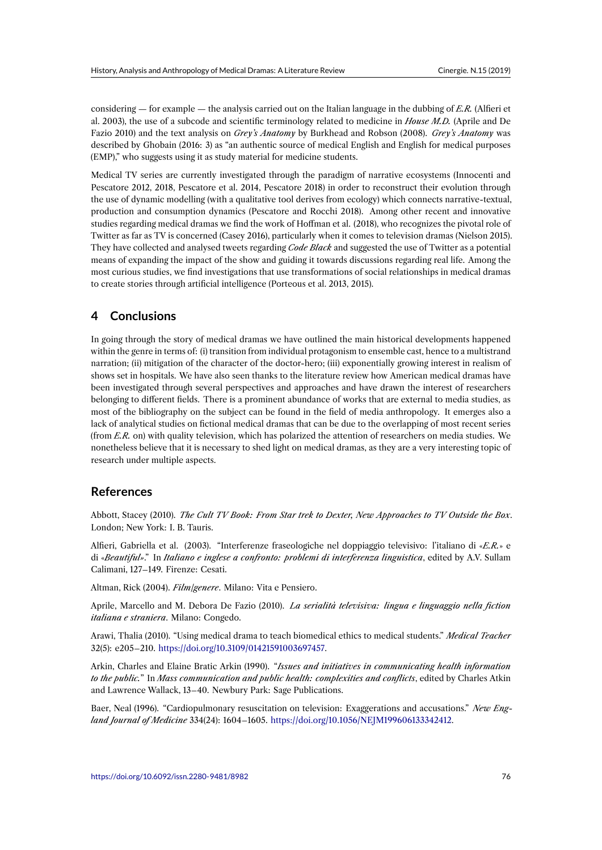considering — for example — the analysis carried out on the Italian language in the dubbing of *E.R.* (Alfieri et al. 2003), the use of a subcode and scientific terminology related to medicine in *House M.D.* (Aprile and De Fazio 2010) and the text analysis on *Grey's Anatomy* by Burkhead and Robson (2008). *Grey's Anatomy* was described by Ghobain (2016: 3) as "an authentic source of medical English and English for medical purposes (EMP)," who suggests using it as study material for medicine students.

Medical TV series are currently investigated through the paradigm of narrative ecosystems (Innocenti and Pescatore 2012, 2018, Pescatore et al. 2014, Pescatore 2018) in order to reconstruct their evolution through the use of dynamic modelling (with a qualitative tool derives from ecology) which connects narrative-textual, production and consumption dynamics (Pescatore and Rocchi 2018). Among other recent and innovative studies regarding medical dramas we find the work of Hoffman et al. (2018), who recognizes the pivotal role of Twitter as far as TV is concerned (Casey 2016), particularly when it comes to television dramas (Nielson 2015). They have collected and analysed tweets regarding *Code Black* and suggested the use of Twitter as a potential means of expanding the impact of the show and guiding it towards discussions regarding real life. Among the most curious studies, we find investigations that use transformations of social relationships in medical dramas to create stories through artificial intelligence (Porteous et al. 2013, 2015).

### **4 Conclusions**

In going through the story of medical dramas we have outlined the main historical developments happened within the genre in terms of: (i) transition from individual protagonism to ensemble cast, hence to a multistrand narration; (ii) mitigation of the character of the doctor-hero; (iii) exponentially growing interest in realism of shows set in hospitals. We have also seen thanks to the literature review how American medical dramas have been investigated through several perspectives and approaches and have drawn the interest of researchers belonging to different fields. There is a prominent abundance of works that are external to media studies, as most of the bibliography on the subject can be found in the field of media anthropology. It emerges also a lack of analytical studies on fictional medical dramas that can be due to the overlapping of most recent series (from *E.R.* on) with quality television, which has polarized the attention of researchers on media studies. We nonetheless believe that it is necessary to shed light on medical dramas, as they are a very interesting topic of research under multiple aspects.

#### **References**

Abbott, Stacey (2010). *The Cult TV Book: From Star trek to Dexter, New Approaches to TV Outside the Box*. London; New York: I. B. Tauris.

Alfieri, Gabriella et al. (2003). "Interferenze fraseologiche nel doppiaggio televisivo: l'italiano di «*E.R.*» e di «*Beautiful»*." In *Italiano e inglese a confronto: problemi di interferenza linguistica*, edited by A.V. Sullam Calimani, 127–149. Firenze: Cesati.

Altman, Rick (2004). *Film/genere*. Milano: Vita e Pensiero.

Aprile, Marcello and M. Debora De Fazio (2010). *La serialità televisiva: lingua e linguaggio nella fiction italiana e straniera*. Milano: Congedo.

Arawi, Thalia (2010). "Using medical drama to teach biomedical ethics to medical students." *Medical Teacher* 32(5): e205–210. https://doi.org/10.3109/01421591003697457.

Arkin, Charles and Elaine Bratic Arkin (1990). "*Issues and initiatives in communicating health information to the public.*" In *Mass communication and public health: complexities and conflicts*, edited by Charles Atkin and Lawrence W[allack, 13–40. Newbury Park: Sage Publicat](https://doi.org/10.3109/01421591003697457)ions.

Baer, Neal (1996). "Cardiopulmonary resuscitation on television: Exaggerations and accusations." *New England Journal of Medicine* 334(24): 1604–1605. https://doi.org/10.1056/NEJM199606133342412.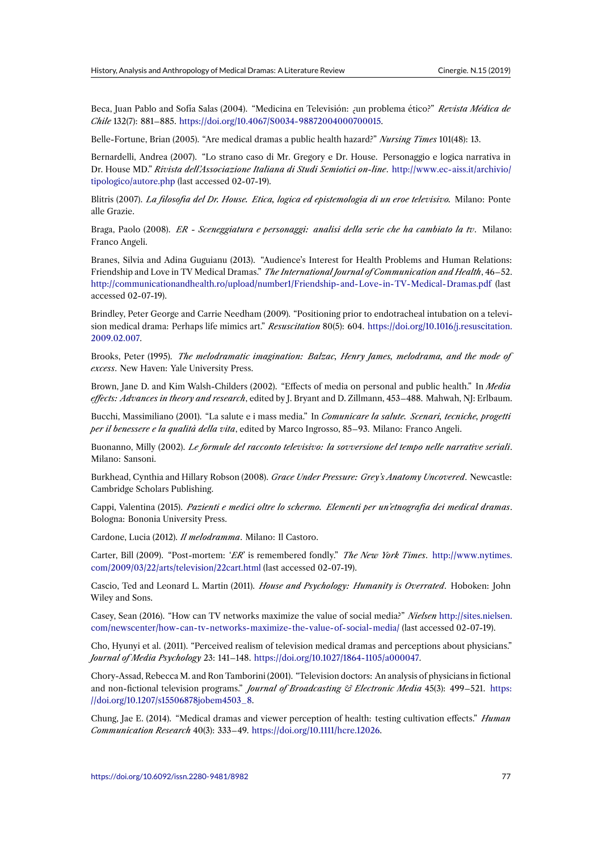Beca, Juan Pablo and Sofía Salas (2004). "Medicina en Televisión: ¿un problema ético?" *Revista Médica de Chile* 132(7): 881–885. https://doi.org/10.4067/S0034-98872004000700015.

Belle-Fortune, Brian (2005). "Are medical dramas a public health hazard?" *Nursing Times* 101(48): 13.

Bernardelli, Andrea (2007). "Lo strano caso di Mr. Gregory e Dr. House. Personaggio e logica narrativa in Dr. House MD." *Rivist[a dell'Associazione Italiana di Studi Semiotici on-lin](https://doi.org/10.4067/S0034-98872004000700015)e*. http://www.ec-aiss.it/archivio/ tipologico/autore.php (last accessed 02-07-19).

Blitris (2007). *La filosofia del Dr. House. Etica, logica ed epistemologia di un eroe televisivo.* Milano: Ponte alle Grazie.

[Braga, Paolo \(2008\).](http://www.ec-aiss.it/archivio/tipologico/autore.php) *ER - Sceneggiatura e personaggi: analisi della serie che ha cambiato la tv*. Milano: Franco Angeli.

Branes, Silvia and Adina Guguianu (2013). "Audience's Interest for Health Problems and Human Relations: Friendship and Love in TV Medical Dramas." *The International Journal of Communication and Health*, 46–52. http://communicationandhealth.ro/upload/number1/Friendship-and-Love-in-TV-Medical-Dramas.pdf (last accessed 02-07-19).

Brindley, Peter George and Carrie Needham (2009). "Positioning prior to endotracheal intubation on a television medical drama: Perhaps life mimics art." *Resuscitation* 80(5): 604. https://doi.org/10.1016/j.resuscitation. [2009.02.007.](http://communicationandhealth.ro/upload/number1/Friendship-and-Love-in-TV-Medical-Dramas.pdf)

Brooks, Peter (1995). *The melodramatic imagination: Balzac, Henry James, melodrama, and the mode of excess*. New Haven: Yale University Press.

[Brown, Jane](https://doi.org/10.1016/j.resuscitation.2009.02.007) D. and Kim Walsh-Childers (2002). "Effects of media on personal and public health." In *Media effects: Advances in theory and research*, edited by J. Bryant and D. Zillmann, 453–488. Mahwah, NJ: Erlbaum.

Bucchi, Massimiliano (2001). "La salute e i mass media." In *Comunicare la salute. Scenari, tecniche, progetti per il benessere e la qualità della vita*, edited by Marco Ingrosso, 85–93. Milano: Franco Angeli.

Buonanno, Milly (2002). *Le formule del racconto televisivo: la sovversione del tempo nelle narrative seriali*. Milano: Sansoni.

Burkhead, Cynthia and Hillary Robson (2008). *Grace Under Pressure: Grey's Anatomy Uncovered*. Newcastle: Cambridge Scholars Publishing.

Cappi, Valentina (2015). *Pazienti e medici oltre lo schermo. Elementi per un'etnografia dei medical dramas*. Bologna: Bononia University Press.

Cardone, Lucia (2012). *Il melodramma*. Milano: Il Castoro.

Carter, Bill (2009). "Post-mortem: '*ER*' is remembered fondly." *The New York Times*. http://www.nytimes. com/2009/03/22/arts/television/22cart.html (last accessed 02-07-19).

Cascio, Ted and Leonard L. Martin (2011). *House and Psychology: Humanity is Overrated*. Hoboken: John Wiley and Sons.

[Casey, Sean \(2016\). "How can TV networks](http://www.nytimes.com/2009/03/22/arts/television/22cart.html) maximize the value of social media?" *Nielsen* http://sites.nielsen. com/newscenter/how-can-tv-networks-maximize-the-value-of-social-media/ (last accessed 02-07-19).

Cho, Hyunyi et al. (2011). "Perceived realism of television medical dramas and perceptions about physicians." *Journal of Media Psychology* 23: 141–148. https://doi.org/10.1027/1864-1105/a000047.

[Chory-Assad, Rebecca M. and Ron Tamborini \(2001\). "Television doctors: An ana](http://sites.nielsen.com/newscenter/how-can-tv-networks-maximize-the-value-of-social-media/)lysis of physicians in fictional and non-fictional television programs." *Journal of Broadcasting & Electronic Media* 45(3): 499–521. https: //doi.org/10.1207/s15506878jobem4503\_8[.](https://doi.org/10.1027/1864-1105/a000047)

Chung, Jae E. (2014). "Medical dramas and viewer perception of health: testing cultivation effects." *Human Communication Research* 40(3): 333–49. https://doi.org/10.1111/hcre.12026.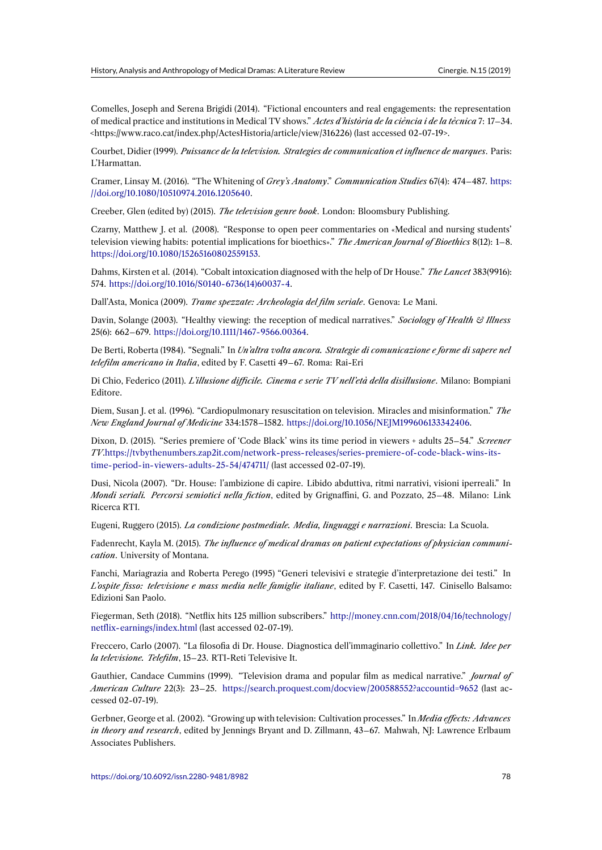Comelles, Joseph and Serena Brigidi (2014). "Fictional encounters and real engagements: the representation of medical practice and institutions in Medical TV shows." *Actes d'història de la ciència i de la tècnica* 7: 17–34. <https://www.raco.cat/index.php/ActesHistoria/article/view/316226) (last accessed 02-07-19>.

Courbet, Didier (1999). *Puissance de la television. Strategies de communication et influence de marques*. Paris: L'Harmattan.

Cramer, Linsay M. (2016). "The Whitening of *Grey's Anatomy*." *Communication Studies* 67(4): 474–487. https: //doi.org/10.1080/10510974.2016.1205640.

Creeber, Glen (edited by) (2015). *The television genre book*. London: Bloomsbury Publishing.

Czarny, Matthew J. et al. (2008). "Response to open peer commentaries on «Medical and nursing stu[dents'](https://doi.org/10.1080/10510974.2016.1205640) [television viewing habits: potential implic](https://doi.org/10.1080/10510974.2016.1205640)ations for bioethics»." *The American Journal of Bioethics* 8(12): 1–8. https://doi.org/10.1080/15265160802559153.

Dahms, Kirsten et al. (2014). "Cobalt intoxication diagnosed with the help of Dr House." *The Lancet* 383(9916): 574. https://doi.org/10.1016/S0140-6736(14)60037-4.

[Dall'Asta, Monica \(2009\).](https://doi.org/10.1080/15265160802559153) *Trame spezzate: Archeologia del film seriale*. Genova: Le Mani.

Davin, Solange (2003). "Healthy viewing: the reception of medical narratives." *Sociology of Health & Illness* 25(6): 662–679. [https://doi.org/10.1111/1467-9566.00](https://doi.org/10.1016/S0140-6736(14)60037-4)364.

De Berti, Roberta (1984). "Segnali." In *Un'altra volta ancora. Strategie di comunicazione e forme di sapere nel telefilm americano in Italia*, edited by F. Casetti 49–67. Roma: Rai-Eri

Di Chio, Federico (2011). *[L'illusione difficile. Cinema e s](https://doi.org/10.1111/1467-9566.00364)erie TV nell'età della disillusione*. Milano: Bompiani Editore.

Diem, Susan J. et al. (1996). "Cardiopulmonary resuscitation on television. Miracles and misinformation." *The New England Journal of Medicine* 334:1578–1582. https://doi.org/10.1056/NEJM199606133342406.

Dixon, D. (2015). "Series premiere of 'Code Black' wins its time period in viewers + adults 25–54." *Screener TV*.https://tvbythenumbers.zap2it.com/network-press-releases/series-premiere-of-code-black-wins-itstime-period-in-viewers-adults-25-54/474711/ (last [accessed 02-07-19\).](https://doi.org/10.1056/NEJM199606133342406)

Dusi, Nicola (2007). "Dr. House: l'ambizione di capire. Libido abduttiva, ritmi narrativi, visioni iperreali." In *Mondi seriali. Percorsi semiotici nella fiction*[, edited by Grignaffini, G. and Pozzato, 25–48. Milano: Lin](https://tvbythenumbers.zap2it.com/network-press-releases/series-premiere-of-code-black-wins-its-time-period-in-viewers-adults-25-54/474711/)k [Ricerca RTI.](https://tvbythenumbers.zap2it.com/network-press-releases/series-premiere-of-code-black-wins-its-time-period-in-viewers-adults-25-54/474711/)

Eugeni, Ruggero (2015). *La condizione postmediale. Media, linguaggi e narrazioni*. Brescia: La Scuola.

Fadenrecht, Kayla M. (2015). *The influence of medical dramas on patient expectations of physician communication*. University of Montana.

Fanchi, Mariagrazia and Roberta Perego (1995) "Generi televisivi e strategie d'interpretazione dei testi." In *L'ospite fisso: televisione e mass media nelle famiglie italiane*, edited by F. Casetti, 147. Cinisello Balsamo: Edizioni San Paolo.

Fiegerman, Seth (2018). "Netflix hits 125 million subscribers." http://money.cnn.com/2018/04/16/technology/ netflix-earnings/index.html (last accessed 02-07-19).

Freccero, Carlo (2007). "La filosofia di Dr. House. Diagnostica dell'immaginario collettivo." In *Link. Idee per la televisione. Telefilm*, 15–23. RTI-Reti Televisive It.

[Gauthier, Candace Cummin](http://money.cnn.com/2018/04/16/technology/netflix-earnings/index.html)s (1999). "Television drama and popular film as medical narrative." *Journal of American Culture* 22(3): 23–25. https://search.proquest.com/docview/200588552?accountid=9652 (last accessed 02-07-19).

Gerbner, George et al. (2002). "Growing up with television: Cultivation processes." In *Media effects: Advances in theory and research*, edited by [Jennings Bryant and D. Zillmann, 43–67. Mahwah, NJ: Lawrence E](https://search.proquest.com/docview/200588552?accountid=9652)rlbaum Associates Publishers.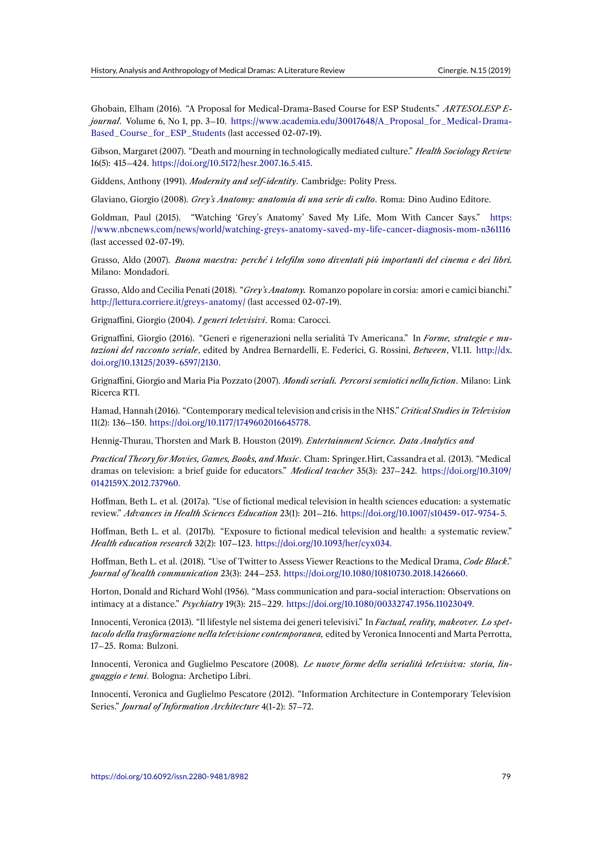Ghobain, Elham (2016). "A Proposal for Medical-Drama-Based Course for ESP Students." *ARTESOLESP Ejournal*. Volume 6, No 1, pp. 3–10. https://www.academia.edu/30017648/A\_Proposal\_for\_Medical-Drama-Based\_Course\_for\_ESP\_Students (last accessed 02-07-19).

Gibson, Margaret (2007). "Death and mourning in technologically mediated culture." *Health Sociology Review* 16(5): 415–424. https://doi.org/10.51[72/hesr.2007.16.5.415.](https://www.academia.edu/30017648/A_Proposal_for_Medical-Drama-Based_Course_for_ESP_Students)

[Giddens, Anthony \(1991\).](https://www.academia.edu/30017648/A_Proposal_for_Medical-Drama-Based_Course_for_ESP_Students) *Modernity and self-identity*. Cambridge: Polity Press.

Glaviano, Giorgio (2008). *Grey's Anatomy: anatomia di una serie di culto*. Roma: Dino Audino Editore.

Goldman, Paul [\(2015\). "Watching 'Grey's Anatomy' S](https://doi.org/10.5172/hesr.2007.16.5.415)aved My Life, Mom With Cancer Says." https: //www.nbcnews.com/news/world/watching-greys-anatomy-saved-my-life-cancer-diagnosis-mom-n361116 (last accessed 02-07-19).

Grasso, Aldo (2007). *Buona maestra: perché i telefilm sono diventati più importanti del cinema e de[i libri.](https://www.nbcnews.com/news/world/watching-greys-anatomy-saved-my-life-cancer-diagnosis-mom-n361116)* [Milano: Mondadori.](https://www.nbcnews.com/news/world/watching-greys-anatomy-saved-my-life-cancer-diagnosis-mom-n361116)

Grasso, Aldo and Cecilia Penati (2018). "*Grey's Anatomy.* Romanzo popolare in corsia: amori e camici bianchi." http://lettura.corriere.it/greys-anatomy/ (last accessed 02-07-19).

Grignaffini, Giorgio (2004). *I generi televisivi*. Roma: Carocci.

Grignaffini, Giorgio (2016). "Generi e rigenerazioni nella serialità Tv Americana." In *Forme, strategie e mu[tazioni del racconto seriale](http://lettura.corriere.it/greys-anatomy/)*, edited by Andrea Bernardelli, E. Federici, G. Rossini, *Between*, VI.11. http://dx. doi.org/10.13125/2039-6597/2130.

Grignaffini, Giorgio and Maria Pia Pozzato (2007). *Mondi seriali. Percorsi semiotici nella fiction*. Milano: Link Ricerca RTI.

[Hamad, Hannah \(2016\). "Contemp](http://dx.doi.org/10.13125/2039-6597/2130)orary medical television and crisis in the NHS." *Critical Studies in Television* 11(2): 136–150. https://doi.org/10.1177/1749602016645778.

Hennig-Thurau, Thorsten and Mark B. Houston (2019). *Entertainment Science. Data Analytics and*

*Practical Theory for Movies, Games, Books, and Music*. Cham: Springer.Hirt, Cassandra et al. (2013). "Medical dramas on tele[vision: a brief guide for educators."](https://doi.org/10.1177/1749602016645778) *Medical teacher* 35(3): 237–242. https://doi.org/10.3109/ 0142159X.2012.737960.

Hoffman, Beth L. et al. (2017a). "Use of fictional medical television in health sciences education: a systematic review." *Advances in Health Sciences Education* 23(1): 201–216. https://doi.org/10.10[07/s10459-017-9754-5.](https://doi.org/10.3109/0142159X.2012.737960)

[Hoffman, Beth L. et al](https://doi.org/10.3109/0142159X.2012.737960). (2017b). "Exposure to fictional medical television and health: a systematic review." *Health education research* 32(2): 107–123. https://doi.org/10.1093/her/cyx034.

Hoffman, Beth L. et al. (2018). "Use of Twitter to Assess Viewer [Reactions to the Medical Drama,](https://doi.org/10.1007/s10459-017-9754-5) *Code Black*." *Journal of health communication* 23(3): 244–253. https://doi.org/10.1080/10810730.2018.1426660.

Horton, Donald and Richard Wohl (1956)."[Mass communication and para-soc](https://doi.org/10.1093/her/cyx034)ial interaction: Observations on intimacy at a distance." *Psychiatry* 19(3): 215–229. https://doi.org/10.1080/00332747.1956.11023049.

Innocenti, Veronica (2013). "Il lifestyle nel sistema dei generi televisivi." In *[Factual, reality, makeov](https://doi.org/10.1080/10810730.2018.1426660)er. Lo spettacolo della trasformazione nella televisione contemporanea,* edited by Veronica Innocenti and Marta Perrotta, 17–25. Roma: Bulzoni.

Innocenti, Veronica and Guglielmo Pescatore (2008). *Le nuove forme della serialità televisiva: storia, linguaggio e temi*. Bologna: Archetipo Libri.

Innocenti, Veronica and Guglielmo Pescatore (2012). "Information Architecture in Contemporary Television Series." *Journal of Information Architecture* 4(1-2): 57–72.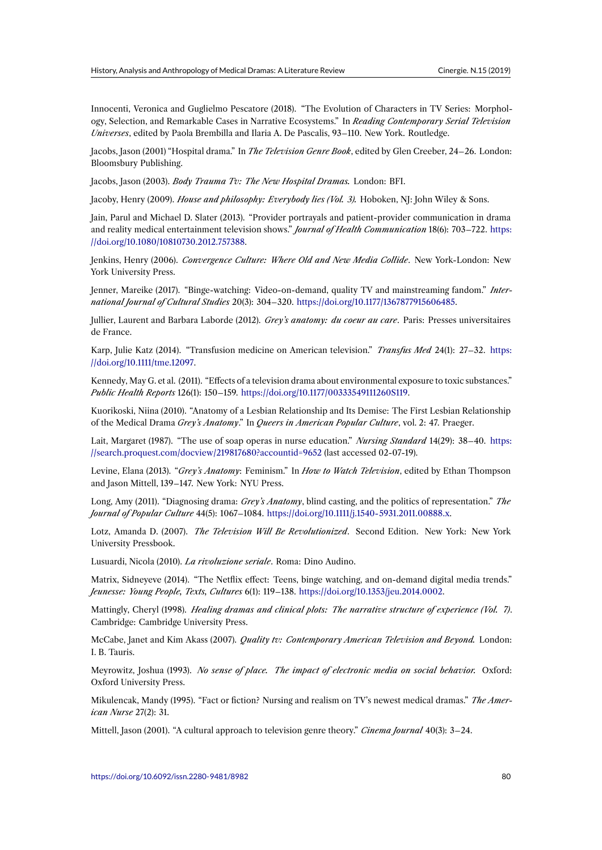Innocenti, Veronica and Guglielmo Pescatore (2018). "The Evolution of Characters in TV Series: Morphology, Selection, and Remarkable Cases in Narrative Ecosystems." In *Reading Contemporary Serial Television Universes*, edited by Paola Brembilla and Ilaria A. De Pascalis, 93–110. New York. Routledge.

Jacobs, Jason (2001) "Hospital drama." In *The Television Genre Book*, edited by Glen Creeber, 24–26. London: Bloomsbury Publishing.

Jacobs, Jason (2003). *Body Trauma Tv: The New Hospital Dramas.* London: BFI.

Jacoby, Henry (2009). *House and philosophy: Everybody lies (Vol. 3).* Hoboken, NJ: John Wiley & Sons.

Jain, Parul and Michael D. Slater (2013). "Provider portrayals and patient-provider communication in drama and reality medical entertainment television shows." *Journal of Health Communication* 18(6): 703–722. https: //doi.org/10.1080/10810730.2012.757388.

Jenkins, Henry (2006). *Convergence Culture: Where Old and New Media Collide*. New York-London: New York University Press.

[Jenner, Mareike \(2017\). "Binge-watching](https://doi.org/10.1080/10810730.2012.757388): Video-on-demand, quality TV and mainstreaming fandom." *International Journal of Cultural Studies* 20(3): 304–320. https://doi.org/10.1177/1367877915606485.

Jullier, Laurent and Barbara Laborde (2012). *Grey's anatomy: du coeur au care*. Paris: Presses universitaires de France.

Karp, Julie Katz (2014). "Transfusion medicine on A[merican television."](https://doi.org/10.1177/1367877915606485) *Transfus Med* 24(1): 27–32. https: //doi.org/10.1111/tme.12097.

Kennedy, May G. et al. (2011). "Effects of a television drama about environmental exposure to toxic substances." *Public Health Reports* 126(1): 150–159. https://doi.org/10.1177/00333549111260S119.

[Kuorikoski, Niina \(2010\). "A](https://doi.org/10.1111/tme.12097)natomy of a Lesbian Relationship and Its Demise: The First Lesbian Relationship of the Medical Drama *Grey's Anatomy*." In *Queers in American Popular Culture*, vol. 2: 47. Praeger.

Lait, Margaret (1987). "The use of soa[p operas in nurse education."](https://doi.org/10.1177/00333549111260S119) *Nursing Standard* 14(29): 38–40. https: //search.proquest.com/docview/219817680?accountid=9652 (last accessed 02-07-19).

Levine, Elana (2013). "*Grey's Anatomy*: Feminism." In *How to Watch Television*, edited by Ethan Thompson and Jason Mittell, 139–147. New York: NYU Press.

[Long, Amy \(2011\). "Diagnosing drama:](https://search.proquest.com/docview/219817680?accountid=9652) *Grey's Anatomy*, blind casting, and the politics of representation." *The Journal of Popular Culture* 44(5): 1067–1084. https://doi.org/10.1111/j.1540-5931.2011.00888.x.

Lotz, Amanda D. (2007). *The Television Will Be Revolutionized*. Second Edition. New York: New York University Pressbook.

Lusuardi, Nicola (2010). *La rivoluzione seriale*[. Roma: Dino Audino.](https://doi.org/10.1111/j.1540-5931.2011.00888.x)

Matrix, Sidneyeve (2014). "The Netflix effect: Teens, binge watching, and on-demand digital media trends." *Jeunesse: Young People, Texts, Cultures* 6(1): 119–138. https://doi.org/10.1353/jeu.2014.0002.

Mattingly, Cheryl (1998). *Healing dramas and clinical plots: The narrative structure of experience (Vol. 7)*. Cambridge: Cambridge University Press.

McCabe, Janet and Kim Akass (2007). *Quality tv: Co[ntemporary American Television and](https://doi.org/10.1353/jeu.2014.0002) Beyond.* London: I. B. Tauris.

Meyrowitz, Joshua (1993). *No sense of place. The impact of electronic media on social behavior.* Oxford: Oxford University Press.

Mikulencak, Mandy (1995). "Fact or fiction? Nursing and realism on TV's newest medical dramas." *The American Nurse* 27(2): 31.

Mittell, Jason (2001). "A cultural approach to television genre theory." *Cinema Journal* 40(3): 3–24.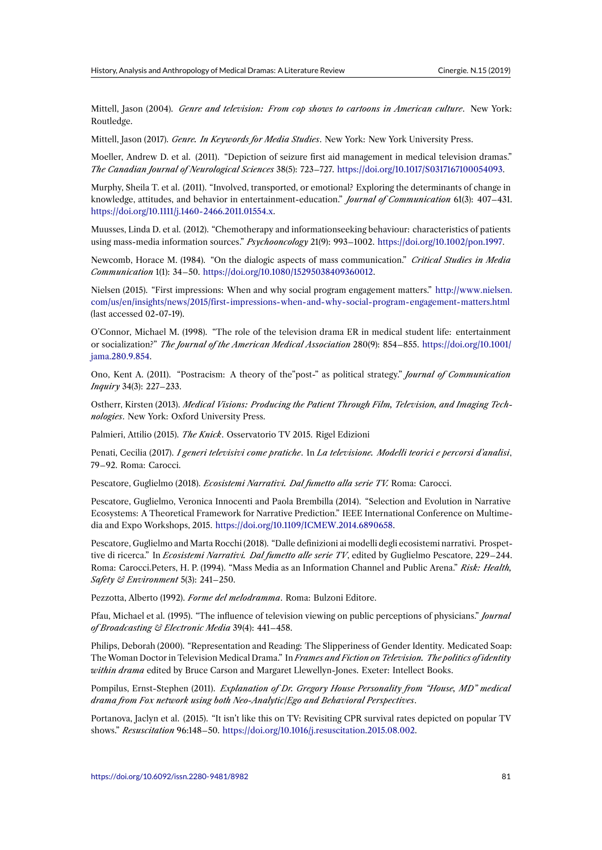Mittell, Jason (2004). *Genre and television: From cop shows to cartoons in American culture*. New York: Routledge.

Mittell, Jason (2017). *Genre. In Keywords for Media Studies*. New York: New York University Press.

Moeller, Andrew D. et al. (2011). "Depiction of seizure first aid management in medical television dramas." *The Canadian Journal of Neurological Sciences* 38(5): 723–727. https://doi.org/10.1017/S0317167100054093.

Murphy, Sheila T. et al. (2011). "Involved, transported, or emotional? Exploring the determinants of change in knowledge, attitudes, and behavior in entertainment-education." *Journal of Communication* 61(3): 407–431. https://doi.org/10.1111/j.1460-2466.2011.01554.x.

Muusses, Linda D. et al. (2012). "Chemotherapy and informationseeking behaviour: characteristics of patients using mass-media information sources." *Psychooncology* 21(9): 993–1002. https://doi.org/10.1002/pon.1997.

[Newcomb, Horace M. \(1984\). "On the dialogic](https://doi.org/10.1111/j.1460-2466.2011.01554.x) aspects of mass communication." *Critical Studies in Media Communication* 1(1): 34–50. https://doi.org/10.1080/15295038409360012.

Nielsen (2015). "First impressions: When and why social program engagement matters." [http://www.nielse](https://doi.org/10.1002/pon.1997)n. com/us/en/insights/news/2015/first-impressions-when-and-why-social-program-engagement-matters.html (last accessed 02-07-19).

O'Connor, Michael M. (1998). "The role of the television drama ER in medical student life: entertainment or socialization?" *The Journal of the American Medical Association* 280(9): 854–855. htt[ps://doi.org/10.1001/](http://www.nielsen.com/us/en/insights/news/2015/first-impressions-when-and-why-social-program-engagement-matters.html) [jama.280.9.854.](http://www.nielsen.com/us/en/insights/news/2015/first-impressions-when-and-why-social-program-engagement-matters.html)

Ono, Kent A. (2011). "Postracism: A theory of the"post-" as political strategy." *Journal of Communication Inquiry* 34(3): 227–233.

[Ostherr, Kirsten](https://doi.org/10.1001/jama.280.9.854) (2013). *Medical Visions: Producing the Patient Through Film, Television, and Imaging Technologies*. New York: Oxford University Press.

Palmieri, Attilio (2015). *The Knick*. Osservatorio TV 2015. Rigel Edizioni

Penati, Cecilia (2017). *I generi televisivi come pratiche*. In *La televisione. Modelli teorici e percorsi d'analisi*, 79–92. Roma: Carocci.

Pescatore, Guglielmo (2018). *Ecosistemi Narrativi. Dal fumetto alla serie TV.* Roma: Carocci.

Pescatore, Guglielmo, Veronica Innocenti and Paola Brembilla (2014). "Selection and Evolution in Narrative Ecosystems: A Theoretical Framework for Narrative Prediction." IEEE International Conference on Multimedia and Expo Workshops, 2015. https://doi.org/10.1109/ICMEW.2014.6890658.

Pescatore, Guglielmo and Marta Rocchi (2018). "Dalle definizioni ai modelli degli ecosistemi narrativi. Prospettive di ricerca." In *Ecosistemi Narrativi. Dal fumetto alle serie TV*, edited by Guglielmo Pescatore, 229–244. Roma: Carocci.Peters, H. P. (19[94\). "Mass Media as an Information Channel an](https://doi.org/10.1109/ICMEW.2014.6890658)d Public Arena." *Risk: Health, Safety & Environment* 5(3): 241–250.

Pezzotta, Alberto (1992). *Forme del melodramma*. Roma: Bulzoni Editore.

Pfau, Michael et al. (1995). "The influence of television viewing on public perceptions of physicians." *Journal of Broadcasting & Electronic Media* 39(4): 441–458.

Philips, Deborah (2000). "Representation and Reading: The Slipperiness of Gender Identity. Medicated Soap: The Woman Doctor in Television Medical Drama." In *Frames and Fiction on Television. The politics of identity within drama* edited by Bruce Carson and Margaret Llewellyn-Jones. Exeter: Intellect Books.

Pompilus, Ernst-Stephen (2011). *Explanation of Dr. Gregory House Personality from "House, MD" medical drama from Fox network using both Neo-Analytic/Ego and Behavioral Perspectives*.

Portanova, Jaclyn et al. (2015). "It isn't like this on TV: Revisiting CPR survival rates depicted on popular TV shows." *Resuscitation* 96:148–50. https://doi.org/10.1016/j.resuscitation.2015.08.002.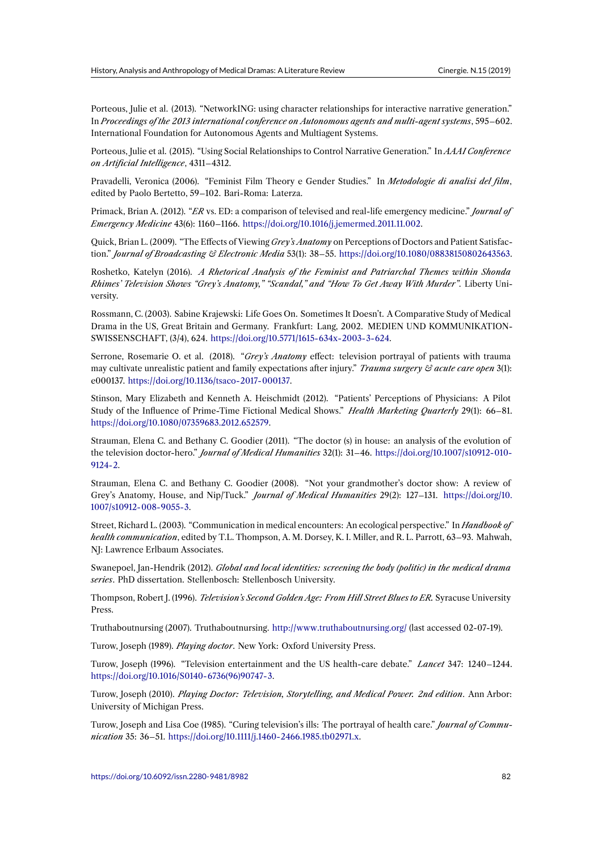Porteous, Julie et al. (2013). "NetworkING: using character relationships for interactive narrative generation." In *Proceedings of the 2013 international conference on Autonomous agents and multi-agent systems*, 595–602. International Foundation for Autonomous Agents and Multiagent Systems.

Porteous, Julie et al. (2015). "Using Social Relationships to Control Narrative Generation." In *AAAI Conference on Artificial Intelligence*, 4311–4312.

Pravadelli, Veronica (2006). "Feminist Film Theory e Gender Studies." In *Metodologie di analisi del film*, edited by Paolo Bertetto, 59–102. Bari-Roma: Laterza.

Primack, Brian A. (2012). "*ER* vs. ED: a comparison of televised and real-life emergency medicine." *Journal of Emergency Medicine* 43(6): 1160–1166. https://doi.org/10.1016/j.jemermed.2011.11.002.

Quick, Brian L. (2009). "The Effects of Viewing *Grey's Anatomy* on Perceptions of Doctors and Patient Satisfaction." *Journal of Broadcasting & Electronic Media* 53(1): 38–55. https://doi.org/10.1080/08838150802643563.

Roshetko, Katelyn (2016). *A Rhetoric[al Analysis of the Feminist and Patriarchal T](https://doi.org/10.1016/j.jemermed.2011.11.002)hemes within Shonda Rhimes' Television Shows "Grey's Anatomy," "Scandal," and "How To Get Away With Murder"*. Liberty University.

Rossmann, C. (2003). Sabine Krajewski: Life Goes On. Sometimes It Doesn't. A Comparative Study of Medical Drama in the US, Great Britain and Germany. Frankfurt: Lang, 2002. MEDIEN UND KOMMUNIKATION-SWISSENSCHAFT, (3/4), 624. https://doi.org/10.5771/1615-634x-2003-3-624.

Serrone, Rosemarie O. et al. (2018). "*Grey's Anatomy* effect: television portrayal of patients with trauma may cultivate unrealistic patient and family expectations after injury." *Trauma surgery & acute care open* 3(1): e000137. https://doi.org/10.113[6/tsaco-2017-000137.](https://doi.org/10.5771/1615-634x-2003-3-624)

Stinson, Mary Elizabeth and Kenneth A. Heischmidt (2012). "Patients' Perceptions of Physicians: A Pilot Study of the Influence of Prime-Time Fictional Medical Shows." *Health Marketing Quarterly* 29(1): 66–81. https://d[oi.org/10.1080/07359683.2012.652579.](https://doi.org/10.1136/tsaco-2017-000137)

Strauman, Elena C. and Bethany C. Goodier (2011). "The doctor (s) in house: an analysis of the evolution of the television doctor-hero." *Journal of Medical Humanities* 32(1): 31–46. https://doi.org/10.1007/s10912-010- [9124-2.](https://doi.org/10.1080/07359683.2012.652579)

Strauman, Elena C. and Bethany C. Goodier (2008). "Not your grandmother's doctor show: A review of Grey's Anatomy, House, and Nip/Tuck." *Journal of Medical Humanities* 29(2): 127–131. [https://doi.org/10.](https://doi.org/10.1007/s10912-010-9124-2) [1007/s1](https://doi.org/10.1007/s10912-010-9124-2)0912-008-9055-3.

Street, Richard L. (2003). "Communication in medical encounters: An ecological perspective." In *Handbook of health communication*, edited by T.L. Thompson, A. M. Dorsey, K. I. Miller, and R. L. Parrott[, 63–93. Mahwah,](https://doi.org/10.1007/s10912-008-9055-3) [NJ: Lawrence Erlbaum As](https://doi.org/10.1007/s10912-008-9055-3)sociates.

Swanepoel, Jan-Hendrik (2012). *Global and local identities: screening the body (politic) in the medical drama series*. PhD dissertation. Stellenbosch: Stellenbosch University.

Thompson, Robert J. (1996). *Television's Second Golden Age: From Hill Street Blues to ER.* Syracuse University Press.

Truthaboutnursing (2007). Truthaboutnursing. http://www.truthaboutnursing.org/ (last accessed 02-07-19).

Turow, Joseph (1989). *Playing doctor*. New York: Oxford University Press.

Turow, Joseph (1996). "Television entertainment and the US health-care debate." *Lancet* 347: 1240–1244. https://doi.org/10.1016/S0140-6736(96)90747-[3.](http://www.truthaboutnursing.org/)

Turow, Joseph (2010). *Playing Doctor: Television, Storytelling, and Medical Power. 2nd edition*. Ann Arbor: University of Michigan Press.

[Turow, Joseph and Lisa Coe \(1985\). "Curing tele](https://doi.org/10.1016/S0140-6736(96)90747-3)vision's ills: The portrayal of health care." *Journal of Communication* 35: 36–51. https://doi.org/10.1111/j.1460-2466.1985.tb02971.x.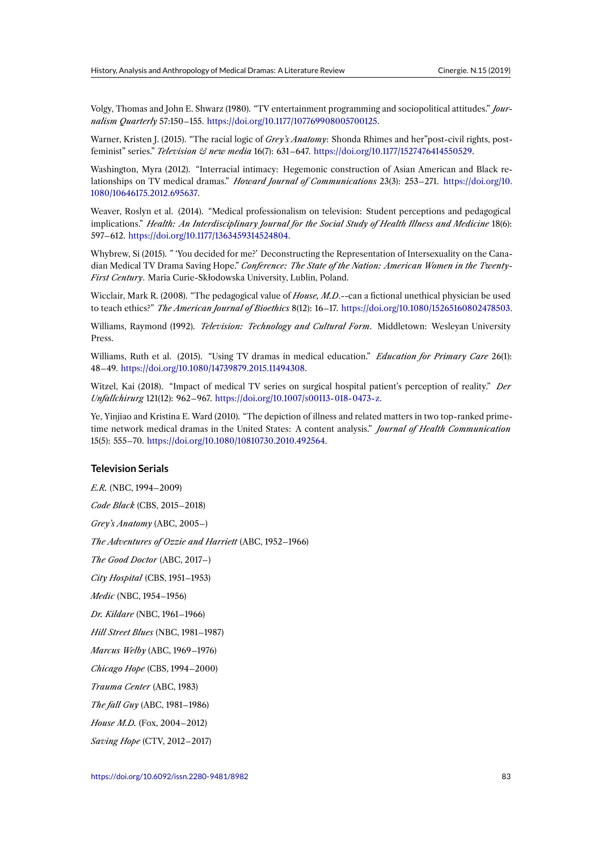Volgy, Thomas and John E. Shwarz (1980). "TV entertainment programming and sociopolitical attitudes." *Journalism Quarterly* 57:150–155. https://doi.org/10.1177/107769908005700125.

Warner, Kristen J. (2015). "The racial logic of *Grey's Anatomy*: Shonda Rhimes and her"post-civil rights, postfeminist" series." *Television & new media* 16(7): 631–647. https://doi.org/10.1177/1527476414550529.

Washington, Myra (2012). "I[nterracial intimacy: Hegemonic construction](https://doi.org/10.1177/107769908005700125) of Asian American and Black relationships on TV medical dramas." *Howard Journal of Communications* 23(3): 253–271. https://doi.org/10. 1080/10646175.2012.695637.

Weaver, Roslyn et al. (2014). "Medical professionalism on television: Student perceptions and pedagogical implications." *Health: An Interdisciplinary Journal for the Social Study of Health Illness a[nd Medicine](https://doi.org/10.1080/10646175.2012.695637)* 18(6): 597–612. [https://doi.org/10.1](https://doi.org/10.1080/10646175.2012.695637)177/1363459314524804.

Whybrew, Si (2015). " 'You decided for me?' Deconstructing the Representation of Intersexuality on the Canadian Medical TV Drama Saving Hope." *Conference: The State of the Nation: American Women in the Twenty-First Century*[. Maria Curie-Skłodowska University,](https://doi.org/10.1177/1363459314524804) Lublin, Poland.

Wicclair, Mark R. (2008). "The pedagogical value of *House, M.D*.--can a fictional unethical physician be used to teach ethics?" *The American Journal of Bioethics* 8(12): 16–17. https://doi.org/10.1080/15265160802478503.

Williams, Raymond (1992). *Television: Technology and Cultural Form*. Middletown: Wesleyan University Press.

Williams, Ruth et al. (2015). "Using TV dramas in medical education." *[Education for Primary Care](https://doi.org/10.1080/15265160802478503)* 26(1): 48–49. https://doi.org/10.1080/14739879.2015.11494308.

Witzel, Kai (2018). "Impact of medical TV series on surgical hospital patient's perception of reality." *Der Unfallchirurg* 121(12): 962–967. https://doi.org/10.1007/s00113-018-0473-z.

Ye, Yinj[iao and Kristina E. Ward \(2010\). "The depiction o](https://doi.org/10.1080/14739879.2015.11494308)f illness and related matters in two top-ranked primetime network medical dramas in the United States: A content analysis." *Journal of Health Communication* 15(5): 555–70. https://doi.org/10[.1080/10810730.2010.492564.](https://doi.org/10.1007/s00113-018-0473-z)

#### **Television Serials**

*E.R.* (NBC, 19[94–2009\)](https://doi.org/10.1080/10810730.2010.492564) *Code Black* (CBS, 2015–2018) *Grey's Anatomy* (ABC, 2005–) *The Adventures of Ozzie and Harriett* (ABC, 1952–1966) *The Good Doctor* (ABC, 2017–) *City Hospital* (CBS, 1951–1953) *Medic* (NBC, 1954–1956) *Dr. Kildare* (NBC, 1961–1966) *Hill Street Blues* (NBC, 1981–1987) *Marcus Welby* (ABC, 1969–1976) *Chicago Hope* (CBS, 1994–2000) *Trauma Center* (ABC, 1983) *The fall Guy* (ABC, 1981–1986) *House M.D.* (Fox, 2004–2012) *Saving Hope* (CTV, 2012–2017)